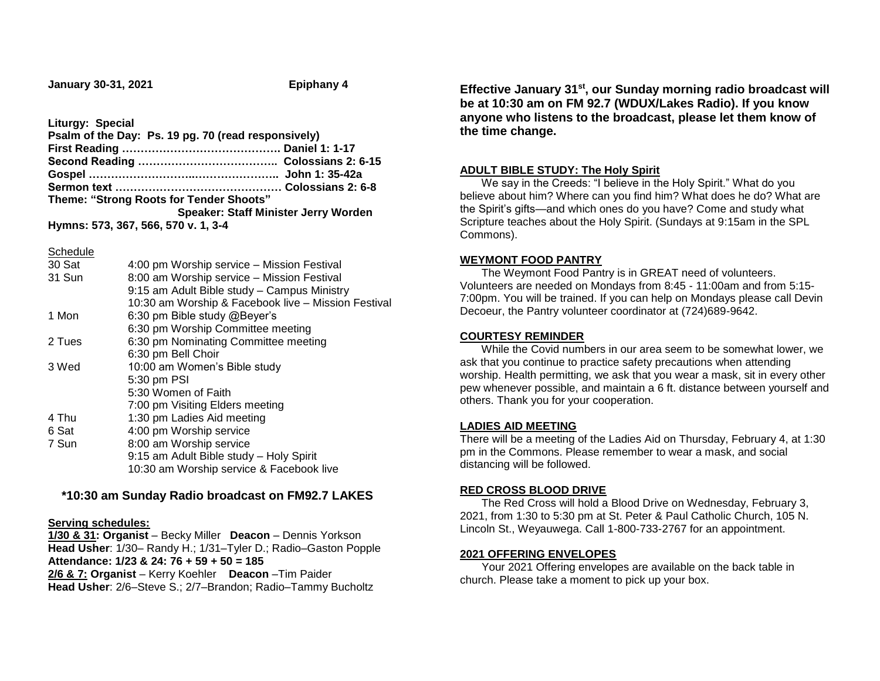**January 30-31, 2021 Epiphany 4**

**Liturgy: Special**

| Psalm of the Day: Ps. 19 pg. 70 (read responsively) |                                      |
|-----------------------------------------------------|--------------------------------------|
|                                                     |                                      |
|                                                     |                                      |
|                                                     |                                      |
|                                                     |                                      |
| Theme: "Strong Roots for Tender Shoots"             |                                      |
|                                                     | Speaker: Staff Minister Jerry Worden |
| Hymns: 573, 367, 566, 570 v. 1, 3-4                 |                                      |

Schedule

| 4:00 pm Worship service - Mission Festival          |
|-----------------------------------------------------|
| 8:00 am Worship service - Mission Festival          |
| 9:15 am Adult Bible study - Campus Ministry         |
| 10:30 am Worship & Facebook live - Mission Festival |
| 6:30 pm Bible study @Beyer's                        |
| 6:30 pm Worship Committee meeting                   |
| 6:30 pm Nominating Committee meeting                |
| 6:30 pm Bell Choir                                  |
| 10:00 am Women's Bible study                        |
| 5:30 pm PSI                                         |
| 5:30 Women of Faith                                 |
| 7:00 pm Visiting Elders meeting                     |
| 1:30 pm Ladies Aid meeting                          |
| 4:00 pm Worship service                             |
| 8:00 am Worship service                             |
| 9:15 am Adult Bible study - Holy Spirit             |
| 10:30 am Worship service & Facebook live            |
|                                                     |

# **\*10:30 am Sunday Radio broadcast on FM92.7 LAKES**

### **Serving schedules:**

**1/30 & 31: Organist** – Becky Miller **Deacon** – Dennis Yorkson Head Usher: 1/30- Randy H.; 1/31-Tyler D.; Radio-Gaston Popple **Attendance: 1/23 & 24: 76 + 59 + 50 = 185 2/6 & 7: Organist** – Kerry Koehler **Deacon** –Tim Paider **Head Usher**: 2/6–Steve S.; 2/7–Brandon; Radio–Tammy Bucholtz

**Effective January 31st, our Sunday morning radio broadcast will be at 10:30 am on FM 92.7 (WDUX/Lakes Radio). If you know anyone who listens to the broadcast, please let them know of the time change.**

### **ADULT BIBLE STUDY: The Holy Spirit**

 We say in the Creeds: "I believe in the Holy Spirit." What do you believe about him? Where can you find him? What does he do? What are the Spirit's gifts—and which ones do you have? Come and study what Scripture teaches about the Holy Spirit. (Sundays at 9:15am in the SPL Commons).

### **WEYMONT FOOD PANTRY**

 The Weymont Food Pantry is in GREAT need of volunteers. Volunteers are needed on Mondays from 8:45 - 11:00am and from 5:15- 7:00pm. You will be trained. If you can help on Mondays please call Devin Decoeur, the Pantry volunteer coordinator at (724)689-9642.

## **COURTESY REMINDER**

 While the Covid numbers in our area seem to be somewhat lower, we ask that you continue to practice safety precautions when attending worship. Health permitting, we ask that you wear a mask, sit in every other pew whenever possible, and maintain a 6 ft. distance between yourself and others. Thank you for your cooperation.

### **LADIES AID MEETING**

There will be a meeting of the Ladies Aid on Thursday, February 4, at 1:30 pm in the Commons. Please remember to wear a mask, and social distancing will be followed.

### **RED CROSS BLOOD DRIVE**

 The Red Cross will hold a Blood Drive on Wednesday, February 3, 2021, from 1:30 to 5:30 pm at St. Peter & Paul Catholic Church, 105 N. Lincoln St., Weyauwega. Call 1-800-733-2767 for an appointment.

### **2021 OFFERING ENVELOPES**

 Your 2021 Offering envelopes are available on the back table in church. Please take a moment to pick up your box.